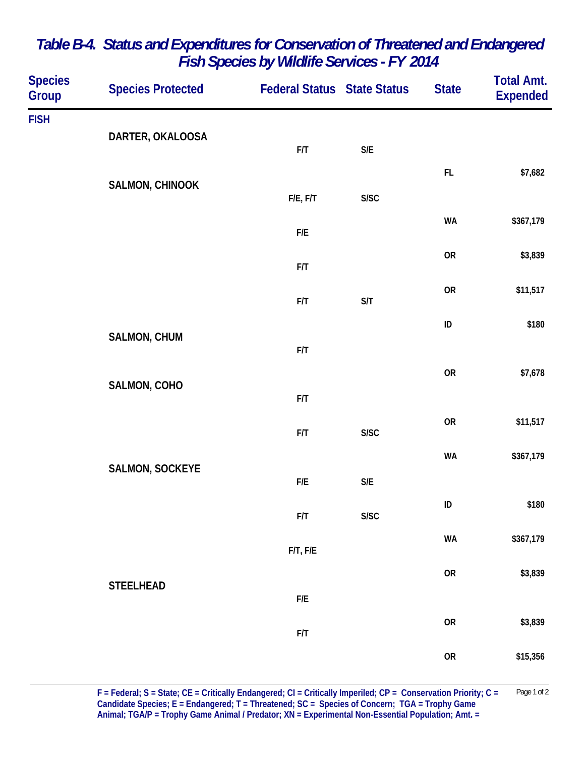| <b>Species</b><br>Group | <b>Species Protected</b> | <b>Federal Status State Status</b> |                         | <b>State</b> | <b>Total Amt.</b><br><b>Expended</b> |
|-------------------------|--------------------------|------------------------------------|-------------------------|--------------|--------------------------------------|
| <b>FISH</b>             | DARTER, OKALOOSA         | F/T                                | $\mathsf{S}/\mathsf{E}$ |              |                                      |
|                         | <b>SALMON, CHINOOK</b>   |                                    |                         | FL           | \$7,682                              |
|                         |                          | F/E, F/T                           | S/SC                    |              |                                      |
|                         |                          | ${\sf F/E}$                        |                         | <b>WA</b>    | \$367,179                            |
|                         |                          | F/T                                |                         | <b>OR</b>    | \$3,839                              |
|                         |                          | F/T                                | S/T                     | <b>OR</b>    | \$11,517                             |
|                         | SALMON, CHUM             |                                    |                         | ID           | \$180                                |
|                         |                          | F/T                                |                         |              |                                      |
|                         | SALMON, COHO             | F/T                                |                         | <b>OR</b>    | \$7,678                              |
|                         |                          | F/T                                | ${\sf S/SC}$            | <b>OR</b>    | \$11,517                             |
|                         |                          |                                    |                         | <b>WA</b>    | \$367,179                            |
|                         | <b>SALMON, SOCKEYE</b>   | ${\sf F/E}$                        | $\mathsf{S}/\mathsf{E}$ |              |                                      |
|                         |                          | ${\sf F/T}$                        | ${\sf S/SC}$            | ID           | \$180                                |
|                         |                          | $F/T$ , $F/E$                      |                         | WA           | \$367,179                            |
|                         | <b>STEELHEAD</b>         |                                    |                         | ${\sf OR}$   | \$3,839                              |
|                         |                          | ${\sf F/E}$                        |                         |              |                                      |
|                         |                          | ${\sf F/T}$                        |                         | ${\sf OR}$   | \$3,839                              |
|                         |                          |                                    |                         | ${\sf OR}$   | \$15,356                             |

## *Table B-4. Status and Expenditures for Conservation of Threatened and Endangered Fish Species by Wildlife Services - FY 2014*